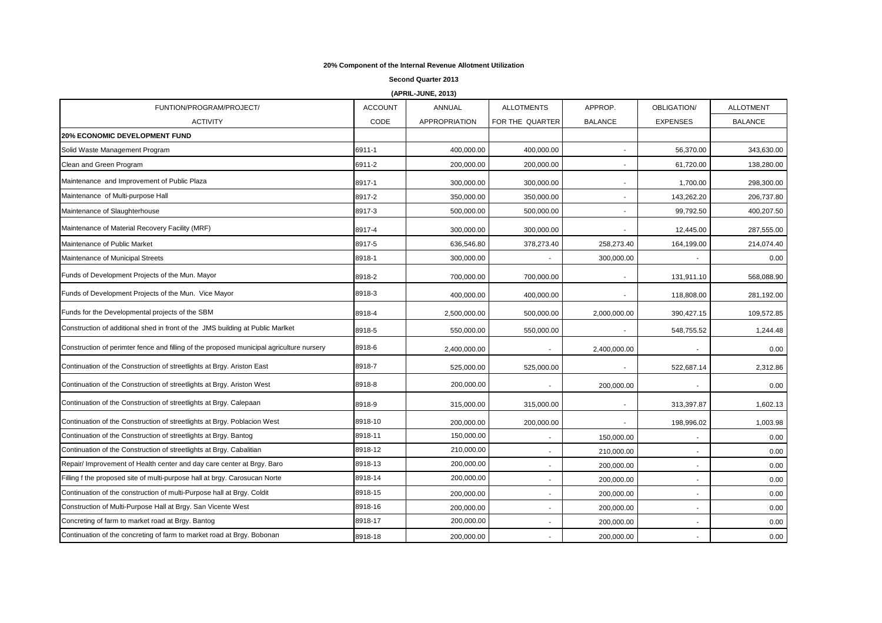## **20% Component of the Internal Revenue Allotment Utilization**

**Second Quarter 2013**

**(APRIL-JUNE, 2013)**

| FUNTION/PROGRAM/PROJECT/                                                                 | <b>ACCOUNT</b> | ANNUAL               | <b>ALLOTMENTS</b>        | APPROP.                  | OBLIGATION/              | <b>ALLOTMENT</b> |
|------------------------------------------------------------------------------------------|----------------|----------------------|--------------------------|--------------------------|--------------------------|------------------|
| <b>ACTIVITY</b>                                                                          | CODE           | <b>APPROPRIATION</b> | FOR THE QUARTER          | <b>BALANCE</b>           | <b>EXPENSES</b>          | <b>BALANCE</b>   |
| <b>20% ECONOMIC DEVELOPMENT FUND</b>                                                     |                |                      |                          |                          |                          |                  |
| Solid Waste Management Program                                                           | 6911-1         | 400,000.00           | 400,000.00               |                          | 56,370.00                | 343,630.00       |
| Clean and Green Program                                                                  | 6911-2         | 200,000.00           | 200,000.00               |                          | 61,720.00                | 138,280.00       |
| Maintenance and Improvement of Public Plaza                                              | 8917-1         | 300,000.00           | 300,000.00               |                          | 1,700.00                 | 298,300.00       |
| Maintenance of Multi-purpose Hall                                                        | 8917-2         | 350,000.00           | 350,000.00               | $\sim$                   | 143,262.20               | 206,737.80       |
| Maintenance of Slaughterhouse                                                            | 8917-3         | 500,000.00           | 500,000.00               |                          | 99,792.50                | 400,207.50       |
| Maintenance of Material Recovery Facility (MRF)                                          | 8917-4         | 300,000.00           | 300,000.00               |                          | 12,445.00                | 287,555.00       |
| Maintenance of Public Market                                                             | 8917-5         | 636,546.80           | 378,273.40               | 258,273.40               | 164,199.00               | 214,074.40       |
| Maintenance of Municipal Streets                                                         | 8918-1         | 300,000.00           |                          | 300,000.00               |                          | 0.00             |
| Funds of Development Projects of the Mun. Mayor                                          | 8918-2         | 700,000.00           | 700,000.00               |                          | 131,911.10               | 568,088.90       |
| Funds of Development Projects of the Mun. Vice Mayor                                     | 8918-3         | 400,000.00           | 400,000.00               |                          | 118,808.00               | 281,192.00       |
| Funds for the Developmental projects of the SBM                                          | 8918-4         | 2,500,000.00         | 500,000.00               | 2,000,000.00             | 390,427.15               | 109,572.85       |
| Construction of additional shed in front of the JMS building at Public Marlket           | 8918-5         | 550,000.00           | 550,000.00               |                          | 548,755.52               | 1,244.48         |
| Construction of perimter fence and filling of the proposed municipal agriculture nursery | 8918-6         | 2,400,000.00         |                          | 2,400,000.00             |                          | 0.00             |
| Continuation of the Construction of streetlights at Brgy. Ariston East                   | 8918-7         | 525,000.00           | 525,000.00               | $\overline{\phantom{a}}$ | 522,687.14               | 2,312.86         |
| Continuation of the Construction of streetlights at Brgy. Ariston West                   | 8918-8         | 200,000.00           | $\overline{\phantom{a}}$ | 200,000.00               | $\sim$                   | 0.00             |
| Continuation of the Construction of streetlights at Brgy. Calepaan                       | 8918-9         | 315,000.00           | 315,000.00               | $\overline{\phantom{a}}$ | 313,397.87               | 1,602.13         |
| Continuation of the Construction of streetlights at Brgy. Poblacion West                 | 8918-10        | 200,000.00           | 200,000.00               |                          | 198,996.02               | 1,003.98         |
| Continuation of the Construction of streetlights at Brgy. Bantog                         | 8918-11        | 150,000.00           |                          | 150,000.00               |                          | 0.00             |
| Continuation of the Construction of streetlights at Brgy. Cabalitian                     | 8918-12        | 210,000.00           | $\overline{\phantom{a}}$ | 210,000.00               | $\overline{\phantom{a}}$ | 0.00             |
| Repair/ Improvement of Health center and day care center at Brgy. Baro                   | 8918-13        | 200,000.00           |                          | 200,000.00               |                          | 0.00             |
| Filling f the proposed site of multi-purpose hall at brgy. Carosucan Norte               | 8918-14        | 200,000.00           |                          | 200,000.00               |                          | 0.00             |
| Continuation of the construction of multi-Purpose hall at Brgy. Coldit                   | 8918-15        | 200,000.00           | $\overline{a}$           | 200,000.00               |                          | 0.00             |
| Construction of Multi-Purpose Hall at Brgy. San Vicente West                             | 8918-16        | 200,000.00           |                          | 200,000.00               | $\overline{\phantom{a}}$ | 0.00             |
| Concreting of farm to market road at Brgy. Bantog                                        | 8918-17        | 200,000.00           |                          | 200,000.00               | $\blacksquare$           | 0.00             |
| Continuation of the concreting of farm to market road at Brgy. Bobonan                   | 8918-18        | 200,000.00           |                          | 200,000.00               |                          | 0.00             |